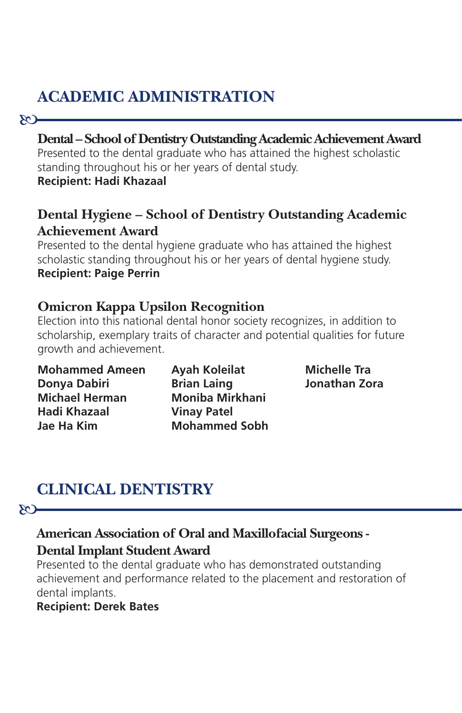# **ACADEMIC ADMINISTRATION**

#### 58

#### **Dental – School of Dentistry Outstanding Academic Achievement Award**

Presented to the dental graduate who has attained the highest scholastic standing throughout his or her years of dental study. **Recipient: Hadi Khazaal**

## **Dental Hygiene – School of Dentistry Outstanding Academic Achievement Award**

Presented to the dental hygiene graduate who has attained the highest scholastic standing throughout his or her years of dental hygiene study. **Recipient: Paige Perrin** 

## **Omicron Kappa Upsilon Recognition**

Election into this national dental honor society recognizes, in addition to scholarship, exemplary traits of character and potential qualities for future growth and achievement.

**Mohammed Ameen Donya Dabiri Michael Herman Hadi Khazaal Jae Ha Kim**

**Ayah Koleilat Brian Laing Moniba Mirkhani Vinay Patel Mohammed Sobh** **Michelle Tra Jonathan Zora** 

# **CLINICAL DENTISTRY**

#### $-\alpha$

## **American Association of Oral and Maxillofacial Surgeons - Dental Implant Student Award**

Presented to the dental graduate who has demonstrated outstanding achievement and performance related to the placement and restoration of dental implants.

#### **Recipient: Derek Bates**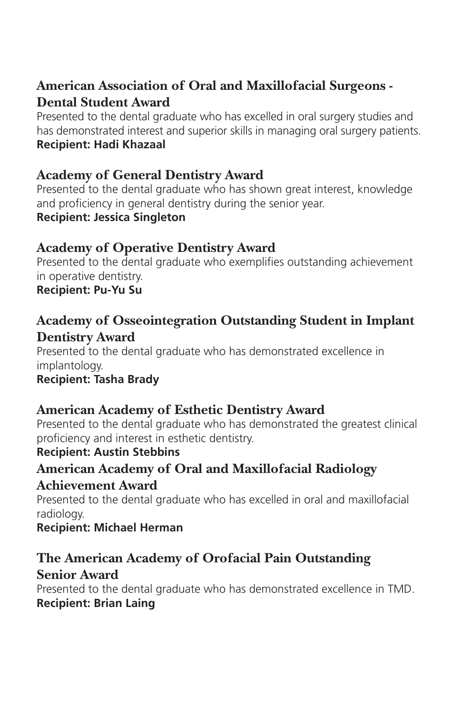# **American Association of Oral and Maxillofacial Surgeons - Dental Student Award**

Presented to the dental graduate who has excelled in oral surgery studies and has demonstrated interest and superior skills in managing oral surgery patients. **Recipient: Hadi Khazaal**

# **Academy of General Dentistry Award**

Presented to the dental graduate who has shown great interest, knowledge and proficiency in general dentistry during the senior year.

### **Recipient: Jessica Singleton**

## **Academy of Operative Dentistry Award**

Presented to the dental graduate who exemplifies outstanding achievement in operative dentistry.

**Recipient: Pu-Yu Su**

## **Academy of Osseointegration Outstanding Student in Implant Dentistry Award**

Presented to the dental graduate who has demonstrated excellence in implantology.

**Recipient: Tasha Brady**

## **American Academy of Esthetic Dentistry Award**

Presented to the dental graduate who has demonstrated the greatest clinical proficiency and interest in esthetic dentistry.

## **Recipient: Austin Stebbins**

# **American Academy of Oral and Maxillofacial Radiology**

### **Achievement Award**

Presented to the dental graduate who has excelled in oral and maxillofacial radiology.

### **Recipient: Michael Herman**

## **The American Academy of Orofacial Pain Outstanding Senior Award**

Presented to the dental graduate who has demonstrated excellence in TMD. **Recipient: Brian Laing**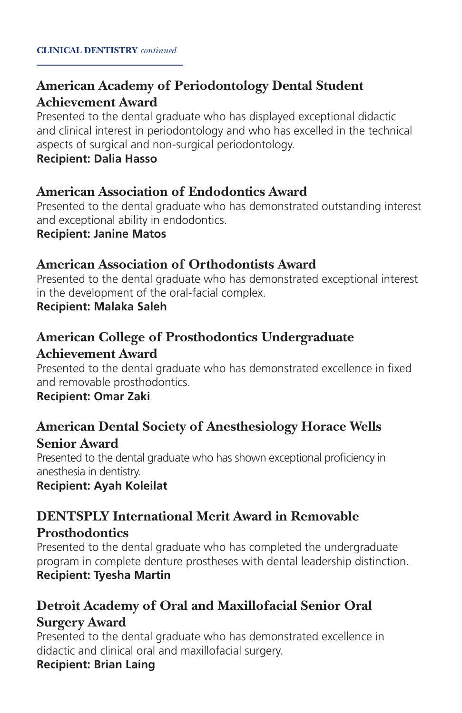# **American Academy of Periodontology Dental Student Achievement Award**

Presented to the dental graduate who has displayed exceptional didactic and clinical interest in periodontology and who has excelled in the technical aspects of surgical and non-surgical periodontology.

#### **Recipient: Dalia Hasso**

## **American Association of Endodontics Award**

Presented to the dental graduate who has demonstrated outstanding interest and exceptional ability in endodontics.

**Recipient: Janine Matos**

## **American Association of Orthodontists Award**

Presented to the dental graduate who has demonstrated exceptional interest in the development of the oral-facial complex.

#### **Recipient: Malaka Saleh**

# **American College of Prosthodontics Undergraduate Achievement Award**

Presented to the dental graduate who has demonstrated excellence in fixed and removable prosthodontics.

### **Recipient: Omar Zaki**

## **American Dental Society of Anesthesiology Horace Wells Senior Award**

Presented to the dental graduate who has shown exceptional proficiency in anesthesia in dentistry.

**Recipient: Ayah Koleilat**

# **DENTSPLY International Merit Award in Removable**

### **Prosthodontics**

Presented to the dental graduate who has completed the undergraduate program in complete denture prostheses with dental leadership distinction. **Recipient: Tyesha Martin**

## **Detroit Academy of Oral and Maxillofacial Senior Oral Surgery Award**

Presented to the dental graduate who has demonstrated excellence in didactic and clinical oral and maxillofacial surgery.

## **Recipient: Brian Laing**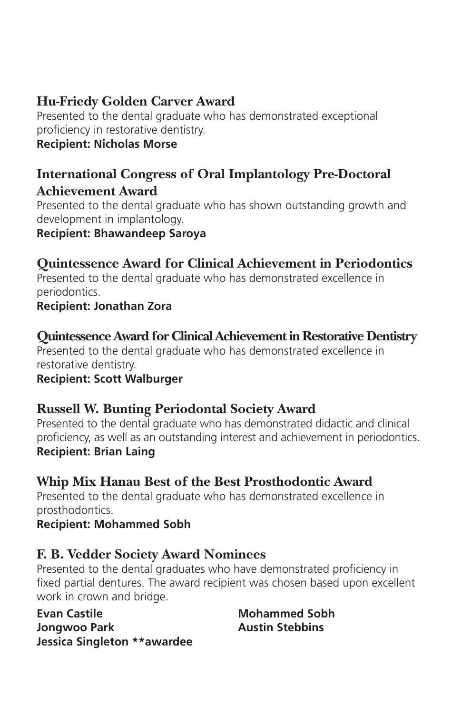# **Hu-Friedy Golden Carver Award**

Presented to the dental graduate who has demonstrated exceptional proficiency in restorative dentistry.

## **Recipient: Nicholas Morse**

## **International Congress of Oral Implantology Pre-Doctoral Achievement Award**

Presented to the dental graduate who has shown outstanding growth and development in implantology.

**Recipient: Bhawandeep Saroya**

# **Quintessence Award for Clinical Achievement in Periodontics**

Presented to the dental graduate who has demonstrated excellence in periodontics.

### **Recipient: Jonathan Zora**

## **Quintessence Award for Clinical Achievement in Restorative Dentistry**

Presented to the dental graduate who has demonstrated excellence in restorative dentistry.

**Recipient: Scott Walburger**

# **Russell W. Bunting Periodontal Society Award**

Presented to the dental graduate who has demonstrated didactic and clinical proficiency, as well as an outstanding interest and achievement in periodontics. **Recipient: Brian Laing**

# **Whip Mix Hanau Best of the Best Prosthodontic Award**

Presented to the dental graduate who has demonstrated excellence in prosthodontics.

### **Recipient: Mohammed Sobh**

# **F. B. Vedder Society Award Nominees**

Presented to the dental graduates who have demonstrated proficiency in fixed partial dentures. The award recipient was chosen based upon excellent work in crown and bridge.

**Evan Castile Jongwoo Park Jessica Singleton \*\*awardee** **Mohammed Sobh Austin Stebbins**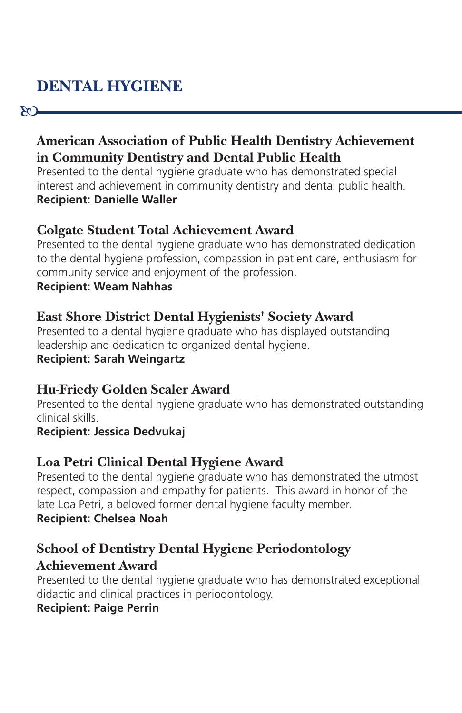# **DENTAL HYGIENE**

 $\infty$ 

# **American Association of Public Health Dentistry Achievement in Community Dentistry and Dental Public Health**

Presented to the dental hygiene graduate who has demonstrated special interest and achievement in community dentistry and dental public health. **Recipient: Danielle Waller**

# **Colgate Student Total Achievement Award**

Presented to the dental hygiene graduate who has demonstrated dedication to the dental hygiene profession, compassion in patient care, enthusiasm for community service and enjoyment of the profession.

## **Recipient: Weam Nahhas**

# **East Shore District Dental Hygienists' Society Award**

Presented to a dental hygiene graduate who has displayed outstanding leadership and dedication to organized dental hygiene. **Recipient: Sarah Weingartz**

## **Hu-Friedy Golden Scaler Award**

Presented to the dental hygiene graduate who has demonstrated outstanding clinical skills.

## **Recipient: Jessica Dedvukaj**

# **Loa Petri Clinical Dental Hygiene Award**

Presented to the dental hygiene graduate who has demonstrated the utmost respect, compassion and empathy for patients. This award in honor of the late Loa Petri, a beloved former dental hygiene faculty member. **Recipient: Chelsea Noah**

# **School of Dentistry Dental Hygiene Periodontology Achievement Award**

Presented to the dental hygiene graduate who has demonstrated exceptional didactic and clinical practices in periodontology.

## **Recipient: Paige Perrin**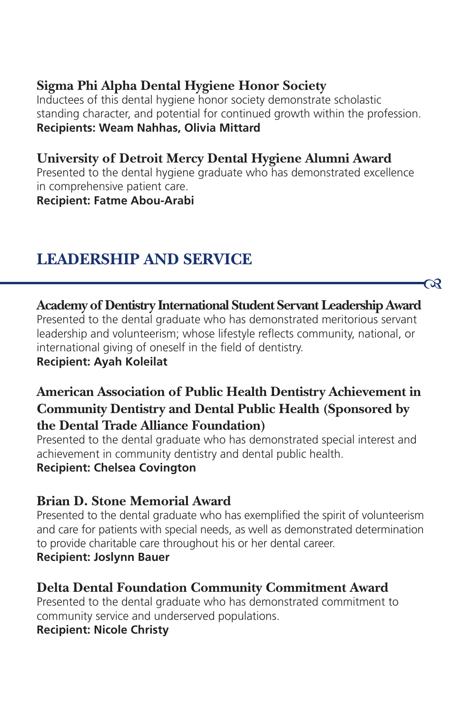# **Sigma Phi Alpha Dental Hygiene Honor Society**

Inductees of this dental hygiene honor society demonstrate scholastic standing character, and potential for continued growth within the profession. **Recipients: Weam Nahhas, Olivia Mittard**

# **University of Detroit Mercy Dental Hygiene Alumni Award**

Presented to the dental hygiene graduate who has demonstrated excellence in comprehensive patient care.

#### **Recipient: Fatme Abou-Arabi**

# **LEADERSHIP AND SERVICE**

**Academy of Dentistry International Student Servant Leadership Award** Presented to the dental graduate who has demonstrated meritorious servant leadership and volunteerism; whose lifestyle reflects community, national, or international giving of oneself in the field of dentistry. **Recipient: Ayah Koleilat**

ન્જર

# **American Association of Public Health Dentistry Achievement in Community Dentistry and Dental Public Health (Sponsored by the Dental Trade Alliance Foundation)**

Presented to the dental graduate who has demonstrated special interest and achievement in community dentistry and dental public health.

# **Recipient: Chelsea Covington**

# **Brian D. Stone Memorial Award**

Presented to the dental graduate who has exemplified the spirit of volunteerism and care for patients with special needs, as well as demonstrated determination to provide charitable care throughout his or her dental career.

### **Recipient: Joslynn Bauer**

# **Delta Dental Foundation Community Commitment Award**

Presented to the dental graduate who has demonstrated commitment to community service and underserved populations.

### **Recipient: Nicole Christy**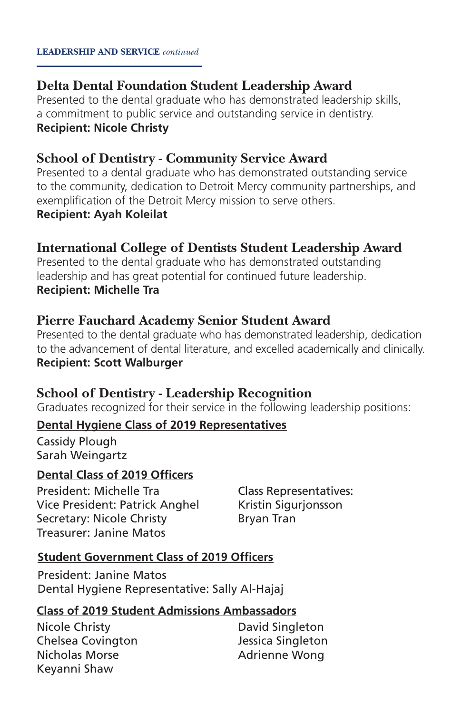## **Delta Dental Foundation Student Leadership Award**

Presented to the dental graduate who has demonstrated leadership skills, a commitment to public service and outstanding service in dentistry. **Recipient: Nicole Christy**

## **School of Dentistry - Community Service Award**

Presented to a dental graduate who has demonstrated outstanding service to the community, dedication to Detroit Mercy community partnerships, and exemplification of the Detroit Mercy mission to serve others. **Recipient: Ayah Koleilat**

## **International College of Dentists Student Leadership Award**

Presented to the dental graduate who has demonstrated outstanding leadership and has great potential for continued future leadership. **Recipient: Michelle Tra**

### **Pierre Fauchard Academy Senior Student Award**

Presented to the dental graduate who has demonstrated leadership, dedication to the advancement of dental literature, and excelled academically and clinically. **Recipient: Scott Walburger**

### **School of Dentistry - Leadership Recognition**

Graduates recognized for their service in the following leadership positions:

#### **Dental Hygiene Class of 2019 Representatives**

Cassidy Plough Sarah Weingartz

#### **Dental Class of 2019 Officers**

President: Michelle Tra Vice President: Patrick Anghel Secretary: Nicole Christy Treasurer: Janine Matos

Class Representatives: Kristin Sigurjonsson Bryan Tran

#### **Student Government Class of 2019 Officers**

President: Janine Matos Dental Hygiene Representative: Sally Al-Hajaj

#### **Class of 2019 Student Admissions Ambassadors**

Nicole Christy Chelsea Covington Nicholas Morse Keyanni Shaw

David Singleton Jessica Singleton Adrienne Wong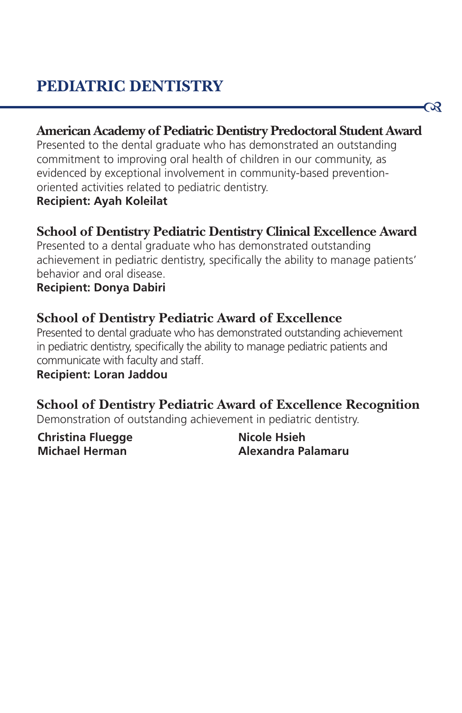## **American Academy of Pediatric Dentistry Predoctoral Student Award**

Presented to the dental graduate who has demonstrated an outstanding commitment to improving oral health of children in our community, as evidenced by exceptional involvement in community-based preventionoriented activities related to pediatric dentistry.

### **Recipient: Ayah Koleilat**

# **School of Dentistry Pediatric Dentistry Clinical Excellence Award**

Presented to a dental graduate who has demonstrated outstanding achievement in pediatric dentistry, specifically the ability to manage patients' behavior and oral disease.

## **Recipient: Donya Dabiri**

# **School of Dentistry Pediatric Award of Excellence**

Presented to dental graduate who has demonstrated outstanding achievement in pediatric dentistry, specifically the ability to manage pediatric patients and communicate with faculty and staff.

### **Recipient: Loran Jaddou**

**School of Dentistry Pediatric Award of Excellence Recognition** Demonstration of outstanding achievement in pediatric dentistry.

**Christina Fluegge Michael Herman**

**Nicole Hsieh Alexandra Palamaru** ೧೪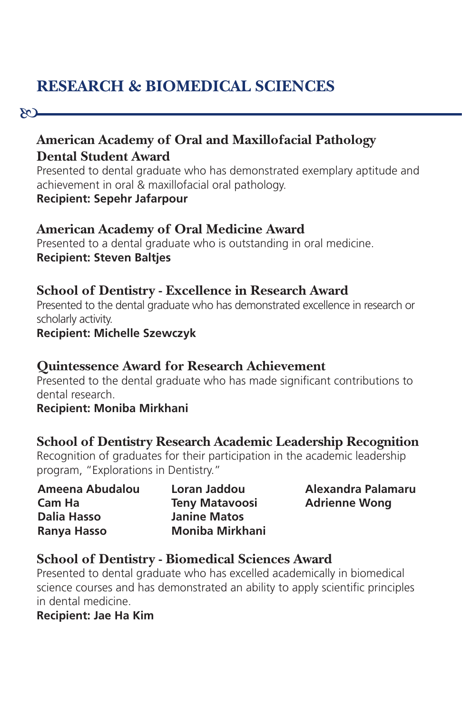# **RESEARCH & BIOMEDICAL SCIENCES**

## **American Academy of Oral and Maxillofacial Pathology Dental Student Award**

Presented to dental graduate who has demonstrated exemplary aptitude and achievement in oral & maxillofacial oral pathology.

#### **Recipient: Sepehr Jafarpour**

80

## **American Academy of Oral Medicine Award**

Presented to a dental graduate who is outstanding in oral medicine. **Recipient: Steven Baltjes**

## **School of Dentistry - Excellence in Research Award**

Presented to the dental graduate who has demonstrated excellence in research or scholarly activity.

## **Recipient: Michelle Szewczyk**

### **Quintessence Award for Research Achievement**

Presented to the dental graduate who has made significant contributions to dental research.

#### **Recipient: Moniba Mirkhani**

# **School of Dentistry Research Academic Leadership Recognition**

Recognition of graduates for their participation in the academic leadership program, "Explorations in Dentistry."

| Ameena Abudalou    | Loran Jaddou           |
|--------------------|------------------------|
| Cam Ha             | <b>Teny Matavoosi</b>  |
| <b>Dalia Hasso</b> | <b>Janine Matos</b>    |
| Ranya Hasso        | <b>Moniba Mirkhani</b> |

**Alexandra Palamaru Adrienne Wong**

### **School of Dentistry - Biomedical Sciences Award**

Presented to dental graduate who has excelled academically in biomedical science courses and has demonstrated an ability to apply scientific principles in dental medicine.

**Recipient: Jae Ha Kim**